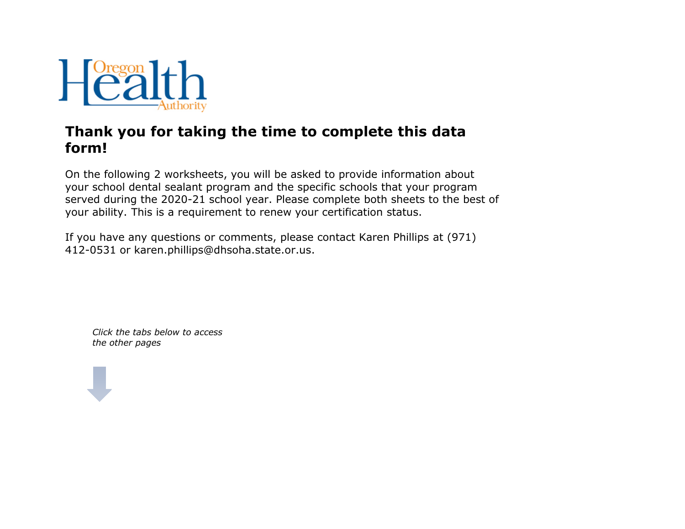

## **Thank you for taking the time to complete this data form!**

On the following 2 worksheets, you will be asked to provide information about your school dental sealant program and the specific schools that your program served during the 2020-21 school year. Please complete both sheets to the best of your ability. This is a requirement to renew your certification status.

If you have any questions or comments, please contact Karen Phillips at (971) 412-0531 or karen.phillips@dhsoha.state.or.us.

*Click the tabs below to access the other pages*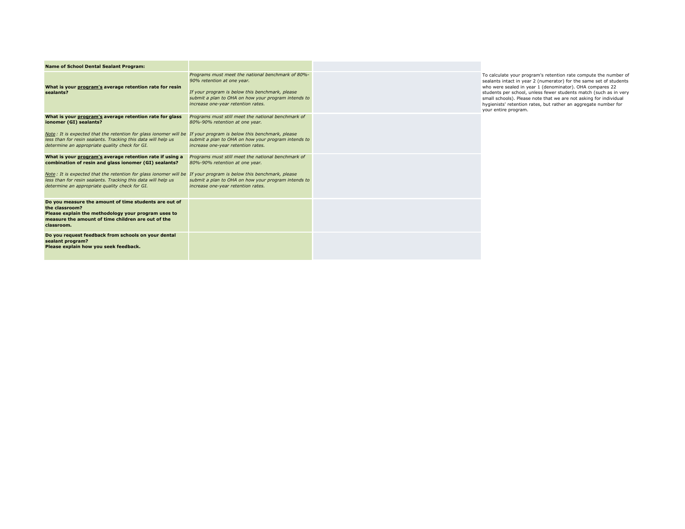| <b>Name of School Dental Sealant Program:</b>                                                                                                                                                                                        |                                                                                                                                                                                                                                 |  |
|--------------------------------------------------------------------------------------------------------------------------------------------------------------------------------------------------------------------------------------|---------------------------------------------------------------------------------------------------------------------------------------------------------------------------------------------------------------------------------|--|
| What is your program's average retention rate for resin<br>sealants?                                                                                                                                                                 | Programs must meet the national benchmark of 80%-<br>90% retention at one year.<br>If your program is below this benchmark, please<br>submit a plan to OHA on how your program intends to<br>increase one-year retention rates. |  |
| What is your program's average retention rate for glass<br>ionomer (GI) sealants?                                                                                                                                                    | Programs must still meet the national benchmark of<br>80%-90% retention at one year.                                                                                                                                            |  |
| Note: It is expected that the retention for glass ionomer will be If your program is below this benchmark, please<br>less than for resin sealants. Tracking this data will help us<br>determine an appropriate quality check for GI. | submit a plan to OHA on how your program intends to<br>increase one-year retention rates.                                                                                                                                       |  |
| What is your program's average retention rate if using a<br>combination of resin and glass ionomer (GI) sealants?                                                                                                                    | Programs must still meet the national benchmark of<br>80%-90% retention at one year.                                                                                                                                            |  |
| Note: It is expected that the retention for glass ionomer will be If your program is below this benchmark, please<br>less than for resin sealants. Tracking this data will help us<br>determine an appropriate quality check for GI. | submit a plan to OHA on how your program intends to<br>increase one-year retention rates.                                                                                                                                       |  |
| Do you measure the amount of time students are out of<br>the classroom?<br>Please explain the methodology your program uses to<br>measure the amount of time children are out of the<br>classroom.                                   |                                                                                                                                                                                                                                 |  |
| Do you request feedback from schools on your dental<br>sealant program?<br>Please explain how you seek feedback.                                                                                                                     |                                                                                                                                                                                                                                 |  |

To calculate your program's retention rate compute the number of sealants intact in year 2 (numerator) for the same set of students who were sealed in year 1 (denominator). OHA compares 22<br>students per school, unless fewer students match (such as in very<br>small schools). Please note that we are not asking for individual<br>hygienists' retention rates, but your entire program.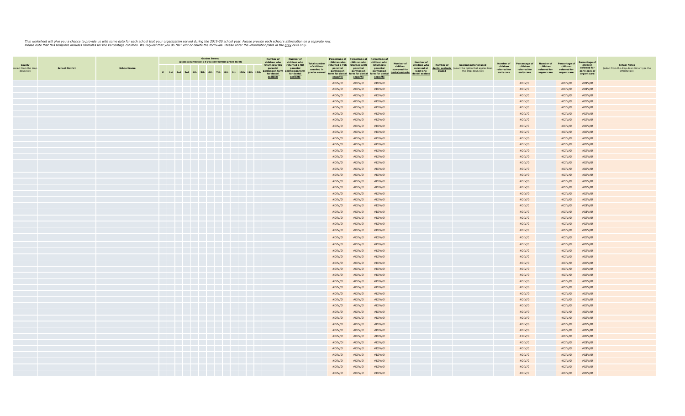## This worksheet will give you a chance to provide us with some data for each compartion served of the comparty of the comparty of the set of the set provide each school's information on a separate row.<br>Please note that this

|                                                       |                        |                    | <b>Grades Served</b><br>(place a numerical 1 if you served that grade level) |           | <b>Number of</b> | <b>Number of</b> |     | Percentage of                  | Percentage of | Percentage of                                                               |                                                                            |                                                                    |                                                                                   |                                                                           |                                                                        |                                                          |                                                                         |                                        |                                                                                    |                                                     |                                                         |                                                      |                                                          |                                                                          |                                                                                    |
|-------------------------------------------------------|------------------------|--------------------|------------------------------------------------------------------------------|-----------|------------------|------------------|-----|--------------------------------|---------------|-----------------------------------------------------------------------------|----------------------------------------------------------------------------|--------------------------------------------------------------------|-----------------------------------------------------------------------------------|---------------------------------------------------------------------------|------------------------------------------------------------------------|----------------------------------------------------------|-------------------------------------------------------------------------|----------------------------------------|------------------------------------------------------------------------------------|-----------------------------------------------------|---------------------------------------------------------|------------------------------------------------------|----------------------------------------------------------|--------------------------------------------------------------------------|------------------------------------------------------------------------------------|
| <b>County</b><br>(select from the drop-<br>down list) | <b>School District</b> | <b>School Name</b> | $K$ 1st                                                                      | $2nd$ 3rd | 4th              | 5th 6th          | 7th | <b>9th</b><br>10 <sub>th</sub> | 11th 12th     | children who<br>returned a YES<br>parental<br>permission form<br>for dental | children who<br>returned a NO<br>parental<br>permission form<br>for dental | <b>Total number</b><br>of children<br>enrolled in<br>grades served | children who<br>returned a YES<br>parental<br>permission<br>orm for <u>dental</u> | children who<br>returned a NO<br>parental<br>permission<br>orm for dental | children who<br>returned a<br>parental<br>permission<br>form for denta | Number of<br>children<br>screened for<br>dental sealants | Number of<br>children who<br>received at<br>least one<br>dental sealant | Number of<br>dental sealants<br>placed | Sealant material used<br>elect the option that applies from<br>the drop-down list) | Number of<br>children<br>referred for<br>early care | Percentage of<br>children<br>referred for<br>early care | Number of<br>children<br>referred for<br>urgent care | Percentage of<br>children<br>referred for<br>urgent care | Percentage o<br>children<br>referred for<br>early care or<br>urgent care | <b>School Notes</b><br>(select from the drop-down list or type the<br>information) |
|                                                       |                        |                    |                                                                              |           |                  |                  |     |                                |               | sealants                                                                    | sealants                                                                   |                                                                    | sealants<br>#DIV/0!                                                               | sealants<br>#DIV/0!                                                       | sealants<br>#DIV/0!                                                    |                                                          |                                                                         |                                        |                                                                                    |                                                     | #DIV/0!                                                 |                                                      | #DIV/0!                                                  | #DIV/0!                                                                  |                                                                                    |
|                                                       |                        |                    |                                                                              |           |                  |                  |     |                                |               |                                                                             |                                                                            |                                                                    | #DIV/0!                                                                           | #DIV/0!                                                                   | #DIV/0!                                                                |                                                          |                                                                         |                                        |                                                                                    |                                                     | #DIV/0!                                                 |                                                      | #DIV/0!                                                  | #DIV/0!                                                                  |                                                                                    |
|                                                       |                        |                    |                                                                              |           |                  |                  |     |                                |               |                                                                             |                                                                            |                                                                    | #DIV/0!                                                                           | #DIV/0!                                                                   | #DIV/0!                                                                |                                                          |                                                                         |                                        |                                                                                    |                                                     | #DIV/0!                                                 |                                                      | #DIV/0!                                                  | #DIV/0!                                                                  |                                                                                    |
|                                                       |                        |                    |                                                                              |           |                  |                  |     |                                |               |                                                                             |                                                                            |                                                                    | #DIV/0!                                                                           | #DIV/0!                                                                   | #DIV/0!                                                                |                                                          |                                                                         |                                        |                                                                                    |                                                     | #DIV/0!                                                 |                                                      | #DIV/0!                                                  | #DIV/0!                                                                  |                                                                                    |
|                                                       |                        |                    |                                                                              |           |                  |                  |     |                                |               |                                                                             |                                                                            |                                                                    | #DIV/0!                                                                           | #DIV/0!                                                                   | #DIV/0!                                                                |                                                          |                                                                         |                                        |                                                                                    |                                                     | #DIV/0!                                                 |                                                      | #DIV/0!                                                  | #DIV/0!                                                                  |                                                                                    |
|                                                       |                        |                    |                                                                              |           |                  |                  |     |                                |               |                                                                             |                                                                            |                                                                    | #DIV/0!                                                                           | #DIV/0!                                                                   | #DIV/0!                                                                |                                                          |                                                                         |                                        |                                                                                    |                                                     | #DIV/0!                                                 |                                                      | #DIV/0!                                                  | #DIV/0!                                                                  |                                                                                    |
|                                                       |                        |                    |                                                                              |           |                  |                  |     |                                |               |                                                                             |                                                                            |                                                                    | #DIV/0!                                                                           | #DIV/0!                                                                   | #DIV/0!                                                                |                                                          |                                                                         |                                        |                                                                                    |                                                     | #DIV/0!                                                 |                                                      | #DIV/0!                                                  | #DIV/0!                                                                  |                                                                                    |
|                                                       |                        |                    |                                                                              |           |                  |                  |     |                                |               |                                                                             |                                                                            |                                                                    | #DIV/0!                                                                           | #DIV/0!                                                                   | #DIV/0!                                                                |                                                          |                                                                         |                                        |                                                                                    |                                                     | #DIV/0!                                                 |                                                      | #DIV/0!                                                  | #DIV/0!                                                                  |                                                                                    |
|                                                       |                        |                    |                                                                              |           |                  |                  |     |                                |               |                                                                             |                                                                            |                                                                    | #DIV/0!                                                                           | #DIV/0!                                                                   | #DIV/0!                                                                |                                                          |                                                                         |                                        |                                                                                    |                                                     | #DIV/0!                                                 |                                                      | #DIV/0!                                                  | $\# \text{DIV}/\text{0}!$                                                |                                                                                    |
|                                                       |                        |                    |                                                                              |           |                  |                  |     |                                |               |                                                                             |                                                                            |                                                                    | #DIV/0!                                                                           | #DIV/0!                                                                   | #DIV/0!                                                                |                                                          |                                                                         |                                        |                                                                                    |                                                     | #DIV/0!                                                 |                                                      | #DIV/0!                                                  | #DIV/0!                                                                  |                                                                                    |
|                                                       |                        |                    |                                                                              |           |                  |                  |     |                                |               |                                                                             |                                                                            |                                                                    | #DIV/0!                                                                           | #DIV/0!                                                                   | #DIV/0!                                                                |                                                          |                                                                         |                                        |                                                                                    |                                                     | #DIV/0!                                                 |                                                      | #DIV/0!                                                  | #DIV/0!                                                                  |                                                                                    |
|                                                       |                        |                    |                                                                              |           |                  |                  |     |                                |               |                                                                             |                                                                            |                                                                    | #DIV/0!                                                                           | #DIV/0!                                                                   | #DIV/0!                                                                |                                                          |                                                                         |                                        |                                                                                    |                                                     | #DIV/0!                                                 |                                                      | #DIV/0!                                                  | #DIV/0!                                                                  |                                                                                    |
|                                                       |                        |                    |                                                                              |           |                  |                  |     |                                |               |                                                                             |                                                                            |                                                                    | #DIV/0!                                                                           | #DIV/0!                                                                   | #DIV/0!                                                                |                                                          |                                                                         |                                        |                                                                                    |                                                     | #DIV/0!                                                 |                                                      | #DIV/0!                                                  | #DIV/0!                                                                  |                                                                                    |
|                                                       |                        |                    |                                                                              |           |                  |                  |     |                                |               |                                                                             |                                                                            |                                                                    | #DIV/0!                                                                           | #DIV/0!                                                                   | #DIV/0!                                                                |                                                          |                                                                         |                                        |                                                                                    |                                                     | #DIV/0!                                                 |                                                      | #DIV/0!                                                  | #DIV/0!                                                                  |                                                                                    |
|                                                       |                        |                    |                                                                              |           |                  |                  |     |                                |               |                                                                             |                                                                            |                                                                    | #DIV/0!                                                                           | #DIV/0!                                                                   | #DIV/0!                                                                |                                                          |                                                                         |                                        |                                                                                    |                                                     | #DIV/0!                                                 |                                                      | #DIV/0!                                                  | #DIV/0!                                                                  |                                                                                    |
|                                                       |                        |                    |                                                                              |           |                  |                  |     |                                |               |                                                                             |                                                                            |                                                                    | #DIV/0!                                                                           | #DIV/0!                                                                   | #DIV/0!                                                                |                                                          |                                                                         |                                        |                                                                                    |                                                     | #DIV/0!                                                 |                                                      | #DIV/0!                                                  | #DIV/0!                                                                  |                                                                                    |
|                                                       |                        |                    |                                                                              |           |                  |                  |     |                                |               |                                                                             |                                                                            |                                                                    | #DIV/0!                                                                           | #DIV/0!                                                                   | #DIV/0!                                                                |                                                          |                                                                         |                                        |                                                                                    |                                                     | $\# \text{DIV}/\text{0}!$                               |                                                      | $\#\mathrm{DIV}/0!$                                      | #DIV/0!                                                                  |                                                                                    |
|                                                       |                        |                    |                                                                              |           |                  |                  |     |                                |               |                                                                             |                                                                            |                                                                    | #DIV/0!                                                                           | #DIV/0!                                                                   | #DIV/0!                                                                |                                                          |                                                                         |                                        |                                                                                    |                                                     | #DIV/0!                                                 |                                                      | #DIV/0!                                                  | #DIV/0!                                                                  |                                                                                    |
|                                                       |                        |                    |                                                                              |           |                  |                  |     |                                |               |                                                                             |                                                                            |                                                                    | #DIV/0!                                                                           | #DIV/0!                                                                   | #DIV/0!                                                                |                                                          |                                                                         |                                        |                                                                                    |                                                     | #DIV/0!                                                 |                                                      | #DIV/0!                                                  | #DIV/0!                                                                  |                                                                                    |
|                                                       |                        |                    |                                                                              |           |                  |                  |     |                                |               |                                                                             |                                                                            |                                                                    | #DIV/0!<br>#DIV/0!                                                                | #DIV/0!<br>#DIV/0!                                                        | #DIV/0!<br>#DIV/0!                                                     |                                                          |                                                                         |                                        |                                                                                    |                                                     | #DIV/0!<br>#DIV/0!                                      |                                                      | #DIV/0!<br>#DIV/0!                                       | #DIV/0!<br>#DIV/0!                                                       |                                                                                    |
|                                                       |                        |                    |                                                                              |           |                  |                  |     |                                |               |                                                                             |                                                                            |                                                                    | #DIV/0!                                                                           | #DIV/0!                                                                   | #DIV/0!                                                                |                                                          |                                                                         |                                        |                                                                                    |                                                     | #DIV/0!                                                 |                                                      | #DIV/0!                                                  | #DIV/0!                                                                  |                                                                                    |
|                                                       |                        |                    |                                                                              |           |                  |                  |     |                                |               |                                                                             |                                                                            |                                                                    | #DIV/0!                                                                           | #DIV/0!                                                                   | #DIV/0!                                                                |                                                          |                                                                         |                                        |                                                                                    |                                                     | #DIV/0!                                                 |                                                      | #DIV/0!                                                  | #DIV/0!                                                                  |                                                                                    |
|                                                       |                        |                    |                                                                              |           |                  |                  |     |                                |               |                                                                             |                                                                            |                                                                    | #DIV/0!                                                                           | #DIV/0!                                                                   | #DIV/0!                                                                |                                                          |                                                                         |                                        |                                                                                    |                                                     | #DIV/0!                                                 |                                                      | #DIV/0!                                                  | #DIV/0!                                                                  |                                                                                    |
|                                                       |                        |                    |                                                                              |           |                  |                  |     |                                |               |                                                                             |                                                                            |                                                                    | #DIV/0!                                                                           | #DIV/0!                                                                   | #DIV/0!                                                                |                                                          |                                                                         |                                        |                                                                                    |                                                     | #DIV/0!                                                 |                                                      | #DIV/0!                                                  | #DIV/0!                                                                  |                                                                                    |
|                                                       |                        |                    |                                                                              |           |                  |                  |     |                                |               |                                                                             |                                                                            |                                                                    | #DIV/0!                                                                           | #DIV/0!                                                                   | #DIV/0!                                                                |                                                          |                                                                         |                                        |                                                                                    |                                                     | #DIV/0!                                                 |                                                      | #DIV/0!                                                  | #DIV/0!                                                                  |                                                                                    |
|                                                       |                        |                    |                                                                              |           |                  |                  |     |                                |               |                                                                             |                                                                            |                                                                    | #DIV/0!                                                                           | #DIV/0!                                                                   | #DIV/0!                                                                |                                                          |                                                                         |                                        |                                                                                    |                                                     | #DIV/0!                                                 |                                                      | #DIV/0!                                                  | #DIV/0!                                                                  |                                                                                    |
|                                                       |                        |                    |                                                                              |           |                  |                  |     |                                |               |                                                                             |                                                                            |                                                                    | #DIV/0!                                                                           | #DIV/0!                                                                   | #DIV/0!                                                                |                                                          |                                                                         |                                        |                                                                                    |                                                     | #DIV/0!                                                 |                                                      | #DIV/0!                                                  | #DIV/0!                                                                  |                                                                                    |
|                                                       |                        |                    |                                                                              |           |                  |                  |     |                                |               |                                                                             |                                                                            |                                                                    | #DIV/0!                                                                           | #DIV/0!                                                                   | #DIV/0!                                                                |                                                          |                                                                         |                                        |                                                                                    |                                                     | #DIV/0!                                                 |                                                      | #DIV/0!                                                  | #DIV/0!                                                                  |                                                                                    |
|                                                       |                        |                    |                                                                              |           |                  |                  |     |                                |               |                                                                             |                                                                            |                                                                    | #DIV/0!                                                                           | #DIV/0!                                                                   | #DIV/0!                                                                |                                                          |                                                                         |                                        |                                                                                    |                                                     | #DIV/0!                                                 |                                                      | #DIV/0!                                                  | #DIV/0!                                                                  |                                                                                    |
|                                                       |                        |                    |                                                                              |           |                  |                  |     |                                |               |                                                                             |                                                                            |                                                                    | #DIV/0!                                                                           | #DIV/0!                                                                   | #DIV/0!                                                                |                                                          |                                                                         |                                        |                                                                                    |                                                     | #DIV/0!                                                 |                                                      | #DIV/0!                                                  | #DIV/0!                                                                  |                                                                                    |
|                                                       |                        |                    |                                                                              |           |                  |                  |     |                                |               |                                                                             |                                                                            |                                                                    | #DIV/0!                                                                           | #DIV/0!                                                                   | #DIV/0!                                                                |                                                          |                                                                         |                                        |                                                                                    |                                                     | #DIV/0!                                                 |                                                      | #DIV/0!                                                  | #DIV/0!                                                                  |                                                                                    |
|                                                       |                        |                    |                                                                              |           |                  |                  |     |                                |               |                                                                             |                                                                            |                                                                    | #DIV/0!                                                                           | #DIV/0!                                                                   | #DIV/0!                                                                |                                                          |                                                                         |                                        |                                                                                    |                                                     | #DIV/0!                                                 |                                                      | #DIV/0!                                                  | #DIV/0!                                                                  |                                                                                    |
|                                                       |                        |                    |                                                                              |           |                  |                  |     |                                |               |                                                                             |                                                                            |                                                                    | #DIV/0!                                                                           | #DIV/0!                                                                   | #DIV/0!                                                                |                                                          |                                                                         |                                        |                                                                                    |                                                     | #DIV/0!                                                 |                                                      | #DIV/0!                                                  | #DIV/0!                                                                  |                                                                                    |
|                                                       |                        |                    |                                                                              |           |                  |                  |     |                                |               |                                                                             |                                                                            |                                                                    | #DIV/0!                                                                           | #DIV/0!                                                                   | #DIV/0!                                                                |                                                          |                                                                         |                                        |                                                                                    |                                                     | #DIV/0!                                                 |                                                      | #DIV/0!                                                  | #DIV/0!                                                                  |                                                                                    |
|                                                       |                        |                    |                                                                              |           |                  |                  |     |                                |               |                                                                             |                                                                            |                                                                    | #DIV/0!                                                                           | #DIV/0!                                                                   | #DIV/0!                                                                |                                                          |                                                                         |                                        |                                                                                    |                                                     | #DIV/0!                                                 |                                                      | #DIV/0!                                                  | #DIV/0!                                                                  |                                                                                    |
|                                                       |                        |                    |                                                                              |           |                  |                  |     |                                |               |                                                                             |                                                                            |                                                                    | #DIV/0!                                                                           | #DIV/0!                                                                   | #DIV/0!                                                                |                                                          |                                                                         |                                        |                                                                                    |                                                     | #DIV/0!                                                 |                                                      | #DIV/0!                                                  | #DIV/0!                                                                  |                                                                                    |
|                                                       |                        |                    |                                                                              |           |                  |                  |     |                                |               |                                                                             |                                                                            |                                                                    | #DIV/0!                                                                           | #DIV/0!                                                                   | #DIV/0!                                                                |                                                          |                                                                         |                                        |                                                                                    |                                                     | #DIV/0!                                                 |                                                      | #DIV/0!                                                  | #DIV/0!                                                                  |                                                                                    |
|                                                       |                        |                    |                                                                              |           |                  |                  |     |                                |               |                                                                             |                                                                            |                                                                    | #DIV/0!                                                                           | #DIV/0!                                                                   | #DIV/0!                                                                |                                                          |                                                                         |                                        |                                                                                    |                                                     | #DIV/0!                                                 |                                                      | #DIV/0!                                                  | #DIV/0!                                                                  |                                                                                    |
|                                                       |                        |                    |                                                                              |           |                  |                  |     |                                |               |                                                                             |                                                                            |                                                                    | #DIV/0!                                                                           | #DIV/0!                                                                   | #DIV/0!                                                                |                                                          |                                                                         |                                        |                                                                                    |                                                     | #DIV/0!                                                 |                                                      | #DIV/0!                                                  | #DIV/0!                                                                  |                                                                                    |
|                                                       |                        |                    |                                                                              |           |                  |                  |     |                                |               |                                                                             |                                                                            |                                                                    | #DIV/0!                                                                           | #DIV/0!                                                                   | #DIV/0!                                                                |                                                          |                                                                         |                                        |                                                                                    |                                                     | #DIV/0!                                                 |                                                      | #DIV/0!                                                  | #DIV/0!                                                                  |                                                                                    |
|                                                       |                        |                    |                                                                              |           |                  |                  |     |                                |               |                                                                             |                                                                            |                                                                    | #DIV/0!                                                                           | #DIV/0!                                                                   | #DIV/0!                                                                |                                                          |                                                                         |                                        |                                                                                    |                                                     | #DIV/0!                                                 |                                                      | #DIV/0!                                                  | #DIV/0!                                                                  |                                                                                    |
|                                                       |                        |                    |                                                                              |           |                  |                  |     |                                |               |                                                                             |                                                                            |                                                                    | #DIV/0!                                                                           | #DIV/0!                                                                   | #DIV/0!                                                                |                                                          |                                                                         |                                        |                                                                                    |                                                     | #DIV/0!                                                 |                                                      | #DIV/0!                                                  | #DIV/0!                                                                  |                                                                                    |
|                                                       |                        |                    |                                                                              |           |                  |                  |     |                                |               |                                                                             |                                                                            |                                                                    | #DIV/0!<br>#DIV/0!                                                                | #DIV/0!<br>#DIV/0!                                                        | #DIV/0!<br>#DIV/0!                                                     |                                                          |                                                                         |                                        |                                                                                    |                                                     | #DIV/0!<br>#DIV/0!                                      |                                                      | #DIV/0!<br>#DIV/0!                                       | #DIV/0!<br>#DIV/0!                                                       |                                                                                    |
|                                                       |                        |                    |                                                                              |           |                  |                  |     |                                |               |                                                                             |                                                                            |                                                                    | #DIV/0!                                                                           | #DIV/0!                                                                   | #DIV/0!                                                                |                                                          |                                                                         |                                        |                                                                                    |                                                     | #DIV/0!                                                 |                                                      | #DIV/0!                                                  | #DIV/0!                                                                  |                                                                                    |
|                                                       |                        |                    |                                                                              |           |                  |                  |     |                                |               |                                                                             |                                                                            |                                                                    | #DIV/0!                                                                           | #DIV/0!                                                                   | #DIV/0!                                                                |                                                          |                                                                         |                                        |                                                                                    |                                                     | #DIV/0!                                                 |                                                      | #DIV/0!                                                  | #DIV/0!                                                                  |                                                                                    |
|                                                       |                        |                    |                                                                              |           |                  |                  |     |                                |               |                                                                             |                                                                            |                                                                    | #DIV/0!                                                                           | #DIV/0!                                                                   | #DIV/0!                                                                |                                                          |                                                                         |                                        |                                                                                    |                                                     | #DIV/0!                                                 |                                                      | #DIV/0!                                                  | #DIV/0!                                                                  |                                                                                    |
|                                                       |                        |                    |                                                                              |           |                  |                  |     |                                |               |                                                                             |                                                                            |                                                                    |                                                                                   |                                                                           |                                                                        |                                                          |                                                                         |                                        |                                                                                    |                                                     |                                                         |                                                      |                                                          |                                                                          |                                                                                    |